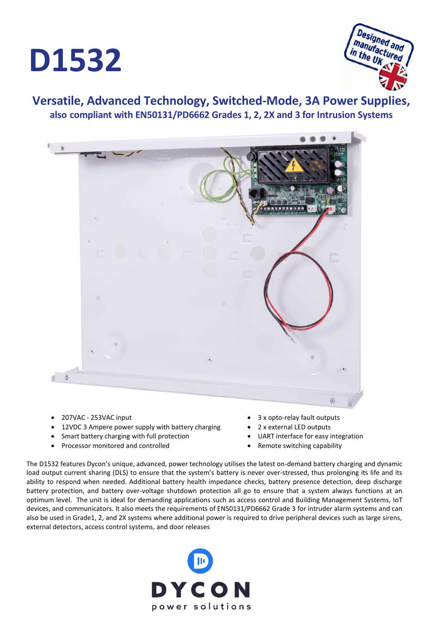



## **Versatile, Advanced Technology, Switched-Mode, 3A Power Supplies, also compliant with EN50131/PD6662 Grades 1, 2, 2X and 3 for Intrusion Systems**



- 207VAC 253VAC input
- 12VDC 3 Ampere power supply with battery charging
- Smart battery charging with full protection
- Processor monitored and controlled
- 3 x opto-relay fault outputs
- 2 x external LED outputs
- UART interface for easy integration
- Remote switching capability

The D1532 features Dycon's unique, advanced, power technology utilises the latest on-demand battery charging and dynamic load output current sharing (DLS) to ensure that the system's battery is never over-stressed, thus prolonging its life and its ability to respond when needed. Additional battery health impedance checks, battery presence detection, deep discharge battery protection, and battery over-voltage shutdown protection all go to ensure that a system always functions at an optimum level. The unit is ideal for demanding applications such as access control and Building Management Systems, IoT devices, and communicators. It also meets the requirements of EN50131/PD6662 Grade 3 for intruder alarm systems and can also be used in Grade1, 2, and 2X systems where additional power is required to drive peripheral devices such as large sirens, external detectors, access control systems, and door releases

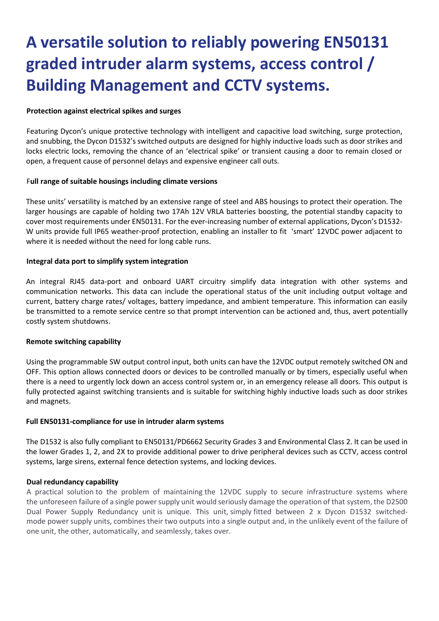# **A versatile solution to reliably powering EN50131 graded intruder alarm systems, access control / Building Management and CCTV systems.**

### **Protection against electrical spikes and surges**

Featuring Dycon's unique protective technology with intelligent and capacitive load switching, surge protection, and snubbing, the Dycon D1532's switched outputs are designed for highly inductive loads such as door strikes and locks electric locks, removing the chance of an 'electrical spike' or transient causing a door to remain closed or open, a frequent cause of personnel delays and expensive engineer call outs.

#### F**ull range of suitable housings including climate versions**

These units' versatility is matched by an extensive range of steel and ABS housings to protect their operation. The larger housings are capable of holding two 17Ah 12V VRLA batteries boosting, the potential standby capacity to cover most requirements under EN50131. For the ever-increasing number of external applications, Dycon's D1532- W units provide full IP65 weather-proof protection, enabling an installer to fit 'smart' 12VDC power adjacent to where it is needed without the need for long cable runs.

#### **Integral data port to simplify system integration**

An integral RJ45 data-port and onboard UART circuitry simplify data integration with other systems and communication networks. This data can include the operational status of the unit including output voltage and current, battery charge rates/ voltages, battery impedance, and ambient temperature. This information can easily be transmitted to a remote service centre so that prompt intervention can be actioned and, thus, avert potentially costly system shutdowns.

#### **Remote switching capability**

Using the programmable SW output control input, both units can have the 12VDC output remotely switched ON and OFF. This option allows connected doors or devices to be controlled manually or by timers, especially useful when there is a need to urgently lock down an access control system or, in an emergency release all doors. This output is fully protected against switching transients and is suitable for switching highly inductive loads such as door strikes and magnets.

#### **Full EN50131-compliance for use in intruder alarm systems**

The D1532 is also fully compliant to EN50131/PD6662 Security Grades 3 and Environmental Class 2. It can be used in the lower Grades 1, 2, and 2X to provide additional power to drive peripheral devices such as CCTV, access control systems, large sirens, external fence detection systems, and locking devices.

#### **Dual redundancy capability**

A practical solution to the problem of maintaining the 12VDC supply to secure infrastructure systems where the unforeseen failure of a single power supply unit would seriously damage the operation of that system, the D2500 Dual Power Supply Redundancy unit is unique. This unit, simply fitted between 2 x Dycon D1532 switchedmode power supply units, combines their two outputs into a single output and, in the unlikely event of the failure of one unit, the other, automatically, and seamlessly, takes over.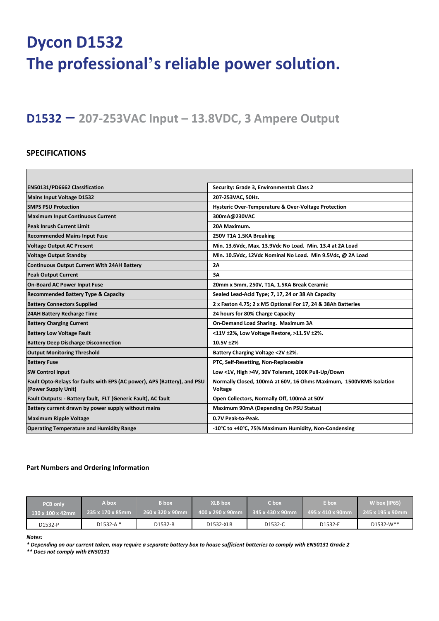# **Dycon D1532 The professional's reliable power solution.**

# **D1532 – 207-253VAC Input – 13.8VDC, 3 Ampere Output**

### **SPECIFICATIONS**

| EN50131/PD6662 Classification                                                                   | Security: Grade 3, Environmental: Class 2                                     |  |
|-------------------------------------------------------------------------------------------------|-------------------------------------------------------------------------------|--|
| <b>Mains Input Voltage D1532</b>                                                                | 207-253VAC, 50Hz.                                                             |  |
| <b>SMPS PSU Protection</b>                                                                      | Hysteric Over-Temperature & Over-Voltage Protection                           |  |
| <b>Maximum Input Continuous Current</b>                                                         | 300mA@230VAC                                                                  |  |
| <b>Peak Inrush Current Limit</b>                                                                | 20A Maximum.                                                                  |  |
| <b>Recommended Mains Input Fuse</b>                                                             | 250V T1A 1.5KA Breaking                                                       |  |
| <b>Voltage Output AC Present</b>                                                                | Min. 13.6Vdc, Max. 13.9Vdc No Load. Min. 13.4 at 2A Load                      |  |
| <b>Voltage Output Standby</b>                                                                   | Min. 10.5Vdc, 12Vdc Nominal No Load. Min 9.5Vdc, @ 2A Load                    |  |
| <b>Continuous Output Current With 24AH Battery</b>                                              | 2A                                                                            |  |
| <b>Peak Output Current</b>                                                                      | 3A                                                                            |  |
| <b>On-Board AC Power Input Fuse</b>                                                             | 20mm x 5mm, 250V, T1A, 1.5KA Break Ceramic                                    |  |
| <b>Recommended Battery Type &amp; Capacity</b>                                                  | Sealed Lead-Acid Type; 7, 17, 24 or 38 Ah Capacity                            |  |
| <b>Battery Connectors Supplied</b>                                                              | 2 x Faston 4.75; 2 x M5 Optional For 17, 24 & 38Ah Batteries                  |  |
| 24AH Battery Recharge Time                                                                      | 24 hours for 80% Charge Capacity                                              |  |
| <b>Battery Charging Current</b>                                                                 | On-Demand Load Sharing. Maximum 3A                                            |  |
| <b>Battery Low Voltage Fault</b>                                                                | <11V ±2%, Low Voltage Restore, >11.5V ±2%.                                    |  |
| <b>Battery Deep Discharge Disconnection</b>                                                     | 10.5V ±2%                                                                     |  |
| <b>Output Monitoring Threshold</b>                                                              | Battery Charging Voltage <2V ±2%.                                             |  |
| <b>Battery Fuse</b>                                                                             | PTC, Self-Resetting, Non-Replaceable                                          |  |
| <b>SW Control Input</b>                                                                         | Low <1V, High >4V, 30V Tolerant, 100K Pull-Up/Down                            |  |
| Fault Opto-Relays for faults with EPS (AC power), APS (Battery), and PSU<br>(Power Supply Unit) | Normally Closed, 100mA at 60V, 16 Ohms Maximum, 1500VRMS Isolation<br>Voltage |  |
| Fault Outputs: - Battery fault, FLT (Generic Fault), AC fault                                   | Open Collectors, Normally Off, 100mA at 50V                                   |  |
| Battery current drawn by power supply without mains                                             | Maximum 90mA (Depending On PSU Status)                                        |  |
| <b>Maximum Ripple Voltage</b>                                                                   | 0.7V Peak-to-Peak.                                                            |  |
| <b>Operating Temperature and Humidity Range</b>                                                 | -10°C to +40°C, 75% Maximum Humidity, Non-Condensing                          |  |

#### **Part Numbers and Ordering Information**

| <b>PCB only</b>               | A box            | <b>B</b> box     | <b>XLB</b> box   | C box                         | E box            | W box (IP65)     |
|-------------------------------|------------------|------------------|------------------|-------------------------------|------------------|------------------|
| $130 \times 100 \times 42$ mm | 235 x 170 x 85mm | 260 x 320 x 90mm | 400 x 290 x 90mm | $345 \times 430 \times 90$ mm | 495 x 410 x 90mm | 245 x 195 x 90mm |
| D1532-P                       | D1532-A *        | D1532-B          | D1532-XLB        | D1532-C                       | D1532-E          | D1532-W**        |

*Notes:* 

*\* Depending on our current taken, may require a separate battery box to house sufficient batteries to comply with EN50131 Grade 2* 

*\*\* Does not comply with EN50131*